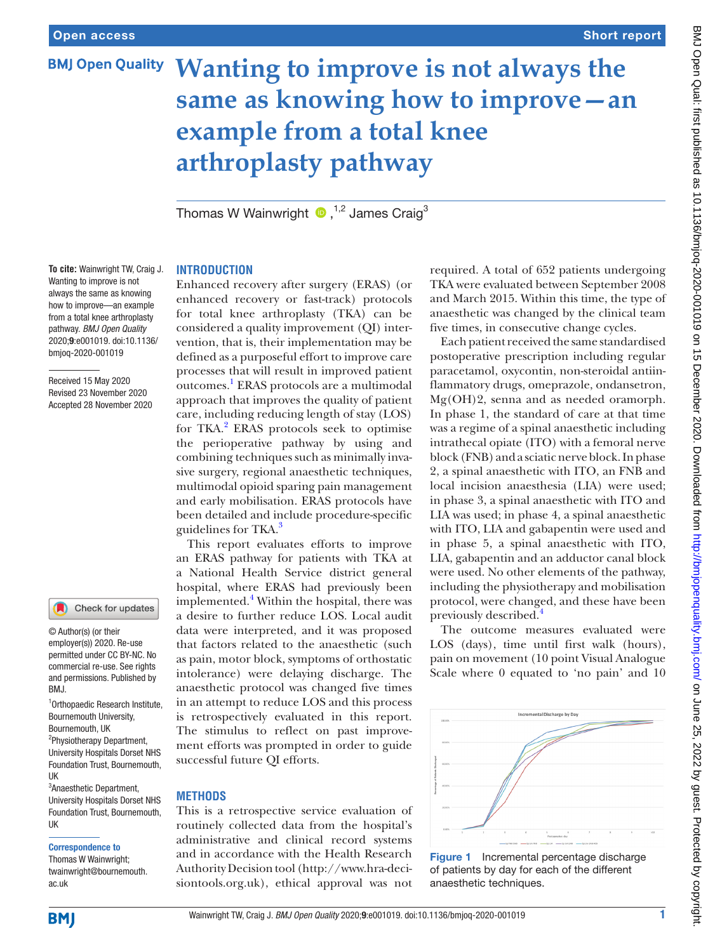# **Wanting to improve is not always the same as knowing how to improve—an example from a total knee arthroplasty pathway**

ThomasW Wainwright  $\bullet$ ,  $^{1,2}$  James Craig<sup>3</sup>

#### **To cite:** Wainwright TW, Craig J. Wanting to improve is not always the same as knowing how to improve—an example from a total knee arthroplasty pathway. *BMJ Open Quality* 2020;9:e001019. doi:10.1136/ bmjoq-2020-001019

Received 15 May 2020 Revised 23 November 2020 Accepted 28 November 2020

#### Check for updates

© Author(s) (or their employer(s)) 2020. Re-use permitted under CC BY-NC. No commercial re-use. See rights and permissions. Published by BMJ.

1 Orthopaedic Research Institute, Bournemouth University, Bournemouth, UK 2 Physiotherapy Department, University Hospitals Dorset NHS Foundation Trust, Bournemouth, UK

3 Anaesthetic Department, University Hospitals Dorset NHS Foundation Trust, Bournemouth, UK

#### Correspondence to

Thomas W Wainwright; twainwright@bournemouth. ac.uk

## **INTRODUCTION**

Enhanced recovery after surgery (ERAS) (or enhanced recovery or fast-track) protocols for total knee arthroplasty (TKA) can be considered a quality improvement (QI) intervention, that is, their implementation may be defined as a purposeful effort to improve care processes that will result in improved patient outcomes.[1](#page-2-0) ERAS protocols are a multimodal approach that improves the quality of patient care, including reducing length of stay (LOS) for TKA.<sup>[2](#page-2-1)</sup> ERAS protocols seek to optimise the perioperative pathway by using and combining techniques such as minimally invasive surgery, regional anaesthetic techniques, multimodal opioid sparing pain management and early mobilisation. ERAS protocols have been detailed and include procedure-specific guidelines for TKA.<sup>3</sup>

This report evaluates efforts to improve an ERAS pathway for patients with TKA at a National Health Service district general hospital, where ERAS had previously been implemented.<sup>4</sup> Within the hospital, there was a desire to further reduce LOS. Local audit data were interpreted, and it was proposed that factors related to the anaesthetic (such as pain, motor block, symptoms of orthostatic intolerance) were delaying discharge. The anaesthetic protocol was changed five times in an attempt to reduce LOS and this process is retrospectively evaluated in this report. The stimulus to reflect on past improvement efforts was prompted in order to guide successful future QI efforts.

#### **METHODS**

This is a retrospective service evaluation of routinely collected data from the hospital's administrative and clinical record systems and in accordance with the Health Research Authority Decision tool ([http://www.hra-deci](http://www.hra-decisiontools.org.uk)[siontools.org.uk\)](http://www.hra-decisiontools.org.uk), ethical approval was not

required. A total of 652 patients undergoing TKA were evaluated between September 2008 and March 2015. Within this time, the type of anaesthetic was changed by the clinical team five times, in consecutive change cycles.

Each patient received the same standardised postoperative prescription including regular paracetamol, oxycontin, non-steroidal antiinflammatory drugs, omeprazole, ondansetron, Mg(OH)2, senna and as needed oramorph. In phase 1, the standard of care at that time was a regime of a spinal anaesthetic including intrathecal opiate (ITO) with a femoral nerve block (FNB) and a sciatic nerve block. In phase 2, a spinal anaesthetic with ITO, an FNB and local incision anaesthesia (LIA) were used; in phase 3, a spinal anaesthetic with ITO and LIA was used; in phase 4, a spinal anaesthetic with ITO, LIA and gabapentin were used and in phase 5, a spinal anaesthetic with ITO, LIA, gabapentin and an adductor canal block were used. No other elements of the pathway, including the physiotherapy and mobilisation protocol, were changed, and these have been previously described.[4](#page-2-3)

The outcome measures evaluated were LOS (days), time until first walk (hours), pain on movement (10 point Visual Analogue Scale where 0 equated to 'no pain' and 10



<span id="page-0-0"></span>Figure 1 Incremental percentage discharge of patients by day for each of the different anaesthetic techniques.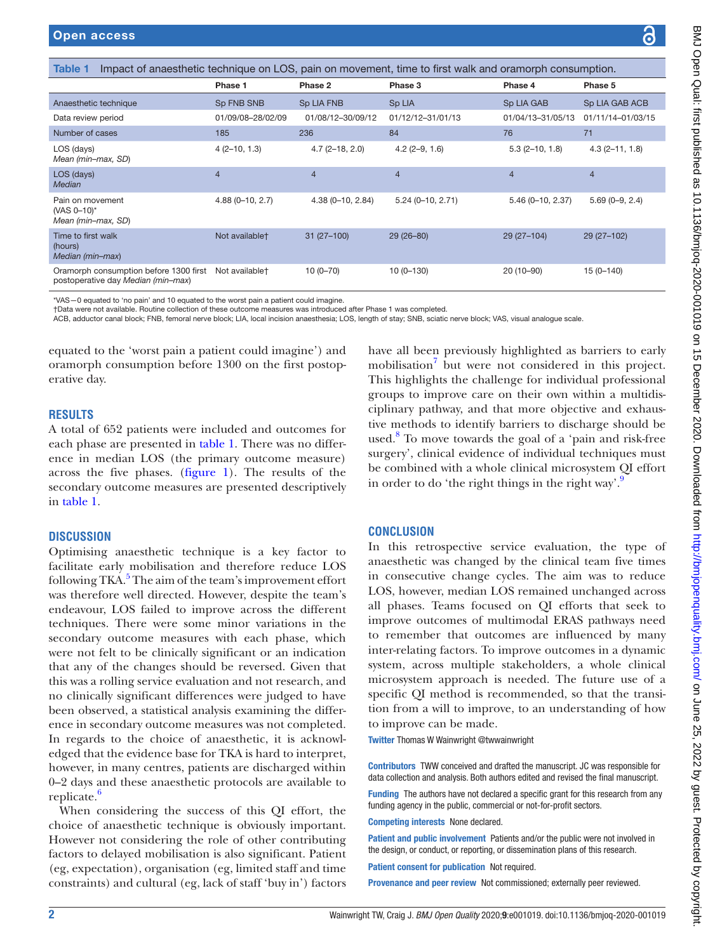<span id="page-1-0"></span>

| <b>Open access</b>                                                                                                |                            |                      |                    |                    | $\boldsymbol{\odot}$ |
|-------------------------------------------------------------------------------------------------------------------|----------------------------|----------------------|--------------------|--------------------|----------------------|
|                                                                                                                   |                            |                      |                    |                    |                      |
| Impact of anaesthetic technique on LOS, pain on movement, time to first walk and oramorph consumption.<br>Table 1 |                            |                      |                    |                    |                      |
|                                                                                                                   | Phase 1                    | Phase 2              | Phase 3            | Phase 4            | Phase 5              |
| Anaesthetic technique                                                                                             | Sp FNB SNB                 | <b>Sp LIA FNB</b>    | Sp LIA             | Sp LIA GAB         | Sp LIA GAB ACB       |
| Data review period                                                                                                | 01/09/08-28/02/09          | 01/08/12-30/09/12    | 01/12/12-31/01/13  | 01/04/13-31/05/13  | 01/11/14-01/03/15    |
| Number of cases                                                                                                   | 185                        | 236                  | 84                 | 76                 | 71                   |
| LOS (days)<br>Mean (min-max, SD)                                                                                  | $4(2-10, 1.3)$             | $4.7(2 - 18, 2.0)$   | $4.2(2-9, 1.6)$    | $5.3(2-10, 1.8)$   | $4.3(2 - 11, 1.8)$   |
| LOS (days)<br><b>Median</b>                                                                                       | $\overline{4}$             | $\overline{4}$       | $\overline{4}$     | $\overline{4}$     | $\overline{4}$       |
| Pain on movement<br>(VAS 0-10)*<br>Mean (min-max, SD)                                                             | $4.88(0-10, 2.7)$          | $4.38(0 - 10, 2.84)$ | $5.24(0-10, 2.71)$ | $5.46(0-10, 2.37)$ | $5.69(0-9, 2.4)$     |
| Time to first walk<br>(hours)<br>Median (min-max)                                                                 | Not available <sup>+</sup> | $31(27-100)$         | $29(26 - 80)$      | 29 (27-104)        | 29 (27-102)          |
| Oramorph consumption before 1300 first<br>postoperative day Median (min-max)                                      | Not available <sup>+</sup> | $10(0 - 70)$         | $10(0-130)$        | $20(10-90)$        | $15(0 - 140)$        |

\*VAS—0 equated to 'no pain' and 10 equated to the worst pain a patient could imagine.

†Data were not available. Routine collection of these outcome measures was introduced after Phase 1 was completed.

ACB, adductor canal block; FNB, femoral nerve block; LIA, local incision anaesthesia; LOS, length of stay; SNB, sciatic nerve block; VAS, visual analogue scale.

equated to the 'worst pain a patient could imagine') and oramorph consumption before 1300 on the first postoperative day.

#### **RESULTS**

A total of 652 patients were included and outcomes for each phase are presented in [table](#page-1-0) 1. There was no difference in median LOS (the primary outcome measure) across the five phases. ([figure](#page-0-0) 1). The results of the secondary outcome measures are presented descriptively in [table](#page-1-0) 1.

#### **DISCUSSION**

Optimising anaesthetic technique is a key factor to facilitate early mobilisation and therefore reduce LOS following TKA.<sup>5</sup> The aim of the team's improvement effort was therefore well directed. However, despite the team's endeavour, LOS failed to improve across the different techniques. There were some minor variations in the secondary outcome measures with each phase, which were not felt to be clinically significant or an indication that any of the changes should be reversed. Given that this was a rolling service evaluation and not research, and no clinically significant differences were judged to have been observed, a statistical analysis examining the difference in secondary outcome measures was not completed. In regards to the choice of anaesthetic, it is acknowledged that the evidence base for TKA is hard to interpret, however, in many centres, patients are discharged within 0–2 days and these anaesthetic protocols are available to replicate.<sup>6</sup>

When considering the success of this QI effort, the choice of anaesthetic technique is obviously important. However not considering the role of other contributing factors to delayed mobilisation is also significant. Patient (eg, expectation), organisation (eg, limited staff and time constraints) and cultural (eg, lack of staff 'buy in') factors

have all been previously highlighted as barriers to early mobilisation<sup>7</sup> but were not considered in this project. This highlights the challenge for individual professional groups to improve care on their own within a multidisciplinary pathway, and that more objective and exhaustive methods to identify barriers to discharge should be used.<sup>[8](#page-2-7)</sup> To move towards the goal of a 'pain and risk-free surgery', clinical evidence of individual techniques must be combined with a whole clinical microsystem QI effort in order to do 'the right things in the right way'. $\frac{9}{2}$  $\frac{9}{2}$  $\frac{9}{2}$ 

#### **CONCLUSION**

In this retrospective service evaluation, the type of anaesthetic was changed by the clinical team five times in consecutive change cycles. The aim was to reduce LOS, however, median LOS remained unchanged across all phases. Teams focused on QI efforts that seek to improve outcomes of multimodal ERAS pathways need to remember that outcomes are influenced by many inter-relating factors. To improve outcomes in a dynamic system, across multiple stakeholders, a whole clinical microsystem approach is needed. The future use of a specific QI method is recommended, so that the transition from a will to improve, to an understanding of how to improve can be made.

Twitter Thomas W Wainwright [@twwainwright](https://twitter.com/twwainwright)

Contributors TWW conceived and drafted the manuscript. JC was responsible for data collection and analysis. Both authors edited and revised the final manuscript.

Funding The authors have not declared a specific grant for this research from any funding agency in the public, commercial or not-for-profit sectors.

Competing interests None declared.

Patient and public involvement Patients and/or the public were not involved in the design, or conduct, or reporting, or dissemination plans of this research.

Patient consent for publication Not required.

Provenance and peer review Not commissioned; externally peer reviewed.